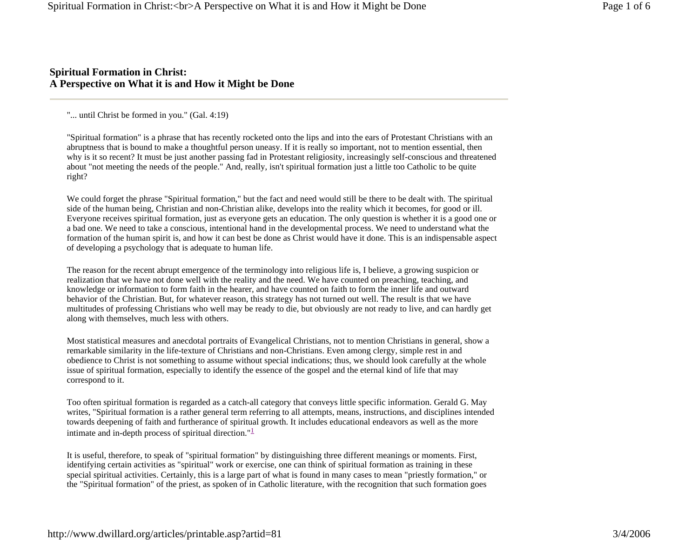## **Spiritual Formation in Christ: A Perspective on What it is and How it Might be Done**

"... until Christ be formed in you." (Gal. 4:19)

"Spiritual formation" is a phrase that has recently rocketed onto the lips and into the ears of Protestant Christians with an abruptness that is bound to make a thoughtful person uneasy. If it is really so important, not to mention essential, then why is it so recent? It must be just another passing fad in Protestant religiosity, increasingly self-conscious and threatened about "not meeting the needs of the people." And, really, isn't spiritual formation just a little too Catholic to be quite right?

We could forget the phrase "Spiritual formation," but the fact and need would still be there to be dealt with. The spiritual side of the human being, Christian and non-Christian alike, develops into the reality which it becomes, for good or ill. Everyone receives spiritual formation, just as everyone gets an education. The only question is whether it is a good one or a bad one. We need to take a conscious, intentional hand in the developmental process. We need to understand what the formation of the human spirit is, and how it can best be done as Christ would have it done. This is an indispensable aspect of developing a psychology that is adequate to human life.

The reason for the recent abrupt emergence of the terminology into religious life is, I believe, a growing suspicion or realization that we have not done well with the reality and the need. We have counted on preaching, teaching, and knowledge or information to form faith in the hearer, and have counted on faith to form the inner life and outward behavior of the Christian. But, for whatever reason, this strategy has not turned out well. The result is that we have multitudes of professing Christians who well may be ready to die, but obviously are not ready to live, and can hardly get along with themselves, much less with others.

Most statistical measures and anecdotal portraits of Evangelical Christians, not to mention Christians in general, show a remarkable similarity in the life-texture of Christians and non-Christians. Even among clergy, simple rest in and obedience to Christ is not something to assume without special indications; thus, we should look carefully at the whole issue of spiritual formation, especially to identify the essence of the gospel and the eternal kind of life that may correspond to it.

Too often spiritual formation is regarded as a catch-all category that conveys little specific information. Gerald G. May writes, "Spiritual formation is a rather general term referring to all attempts, means, instructions, and disciplines intended towards deepening of faith and furtherance of spiritual growth. It includes educational endeavors as well as the more intimate and in-depth process of spiritual direction." $\frac{1}{2}$ 

It is useful, therefore, to speak of "spiritual formation" by distinguishing three different meanings or moments. First, identifying certain activities as "spiritual" work or exercise, one can think of spiritual formation as training in these special spiritual activities. Certainly, this is a large part of what is found in many cases to mean "priestly formation," or the "Spiritual formation" of the priest, as spoken of in Catholic literature, with the recognition that such formation goes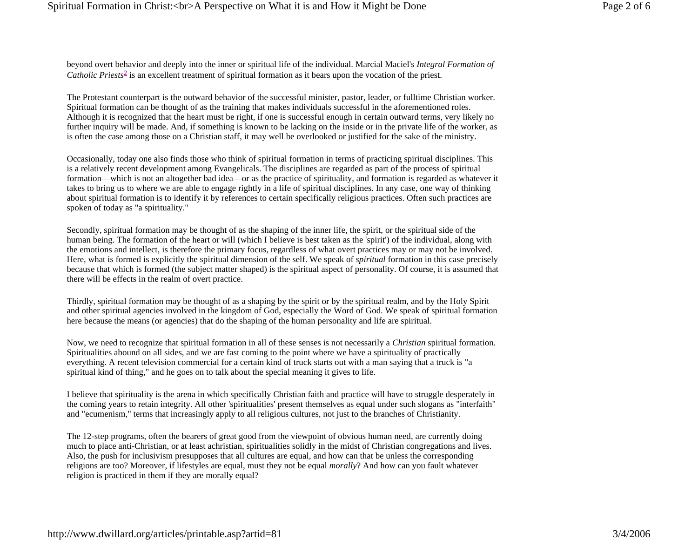beyond overt behavior and deeply into the inner or spiritual life of the individual. Marcial Maciel's *Integral Formation of Catholic Priests*<sup>2</sup> is an excellent treatment of spiritual formation as it bears upon the vocation of the priest.

The Protestant counterpart is the outward behavior of the successful minister, pastor, leader, or fulltime Christian worker. Spiritual formation can be thought of as the training that makes individuals successful in the aforementioned roles. Although it is recognized that the heart must be right, if one is successful enough in certain outward terms, very likely no further inquiry will be made. And, if something is known to be lacking on the inside or in the private life of the worker, as is often the case among those on a Christian staff, it may well be overlooked or justified for the sake of the ministry.

Occasionally, today one also finds those who think of spiritual formation in terms of practicing spiritual disciplines. This is a relatively recent development among Evangelicals. The disciplines are regarded as part of the process of spiritual formation—which is not an altogether bad idea—or as the practice of spirituality, and formation is regarded as whatever it takes to bring us to where we are able to engage rightly in a life of spiritual disciplines. In any case, one way of thinking about spiritual formation is to identify it by references to certain specifically religious practices. Often such practices are spoken of today as "a spirituality."

Secondly, spiritual formation may be thought of as the shaping of the inner life, the spirit, or the spiritual side of the human being. The formation of the heart or will (which I believe is best taken as the 'spirit') of the individual, along with the emotions and intellect, is therefore the primary focus, regardless of what overt practices may or may not be involved. Here, what is formed is explicitly the spiritual dimension of the self. We speak of *spiritual* formation in this case precisely because that which is formed (the subject matter shaped) is the spiritual aspect of personality. Of course, it is assumed that there will be effects in the realm of overt practice.

Thirdly, spiritual formation may be thought of as a shaping by the spirit or by the spiritual realm, and by the Holy Spirit and other spiritual agencies involved in the kingdom of God, especially the Word of God. We speak of spiritual formation here because the means (or agencies) that do the shaping of the human personality and life are spiritual.

Now, we need to recognize that spiritual formation in all of these senses is not necessarily a *Christian* spiritual formation. Spiritualities abound on all sides, and we are fast coming to the point where we have a spirituality of practically everything. A recent television commercial for a certain kind of truck starts out with a man saying that a truck is "a spiritual kind of thing," and he goes on to talk about the special meaning it gives to life.

I believe that spirituality is the arena in which specifically Christian faith and practice will have to struggle desperately in the coming years to retain integrity. All other 'spiritualities' present themselves as equal under such slogans as "interfaith" and "ecumenism," terms that increasingly apply to all religious cultures, not just to the branches of Christianity.

The 12-step programs, often the bearers of great good from the viewpoint of obvious human need, are currently doing much to place anti-Christian, or at least achristian, spiritualities solidly in the midst of Christian congregations and lives. Also, the push for inclusivism presupposes that all cultures are equal, and how can that be unless the corresponding religions are too? Moreover, if lifestyles are equal, must they not be equal *morally*? And how can you fault whatever religion is practiced in them if they are morally equal?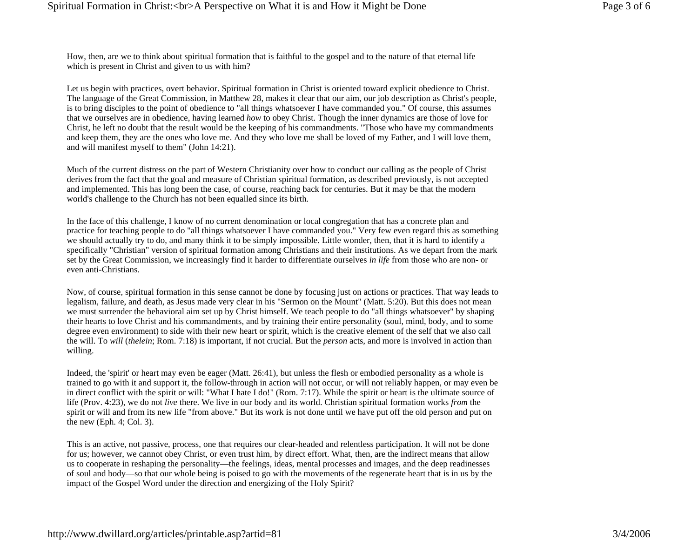How, then, are we to think about spiritual formation that is faithful to the gospel and to the nature of that eternal life which is present in Christ and given to us with him?

Let us begin with practices, overt behavior. Spiritual formation in Christ is oriented toward explicit obedience to Christ. The language of the Great Commission, in Matthew 28, makes it clear that our aim, our job description as Christ's people, is to bring disciples to the point of obedience to "all things whatsoever I have commanded you." Of course, this assumes that we ourselves are in obedience, having learned *how* to obey Christ. Though the inner dynamics are those of love for Christ, he left no doubt that the result would be the keeping of his commandments. "Those who have my commandments and keep them, they are the ones who love me. And they who love me shall be loved of my Father, and I will love them, and will manifest myself to them" (John 14:21).

Much of the current distress on the part of Western Christianity over how to conduct our calling as the people of Christ derives from the fact that the goal and measure of Christian spiritual formation, as described previously, is not accepted and implemented. This has long been the case, of course, reaching back for centuries. But it may be that the modern world's challenge to the Church has not been equalled since its birth.

In the face of this challenge, I know of no current denomination or local congregation that has a concrete plan and practice for teaching people to do "all things whatsoever I have commanded you." Very few even regard this as something we should actually try to do, and many think it to be simply impossible. Little wonder, then, that it is hard to identify a specifically "Christian" version of spiritual formation among Christians and their institutions. As we depart from the mark set by the Great Commission, we increasingly find it harder to differentiate ourselves *in life* from those who are non- or even anti-Christians.

Now, of course, spiritual formation in this sense cannot be done by focusing just on actions or practices. That way leads to legalism, failure, and death, as Jesus made very clear in his "Sermon on the Mount" (Matt. 5:20). But this does not mean we must surrender the behavioral aim set up by Christ himself. We teach people to do "all things whatsoever" by shaping their hearts to love Christ and his commandments, and by training their entire personality (soul, mind, body, and to some degree even environment) to side with their new heart or spirit, which is the creative element of the self that we also call the will. To *will* (*thelein*; Rom. 7:18) is important, if not crucial. But the *person* acts, and more is involved in action than willing.

Indeed, the 'spirit' or heart may even be eager (Matt. 26:41), but unless the flesh or embodied personality as a whole is trained to go with it and support it, the follow-through in action will not occur, or will not reliably happen, or may even be in direct conflict with the spirit or will: "What I hate I do!" (Rom. 7:17). While the spirit or heart is the ultimate source of life (Prov. 4:23), we do not *live* there. We live in our body and its world. Christian spiritual formation works *from* the spirit or will and from its new life "from above." But its work is not done until we have put off the old person and put on the new (Eph. 4; Col. 3).

This is an active, not passive, process, one that requires our clear-headed and relentless participation. It will not be done for us; however, we cannot obey Christ, or even trust him, by direct effort. What, then, are the indirect means that allow us to cooperate in reshaping the personality—the feelings, ideas, mental processes and images, and the deep readinesses of soul and body—so that our whole being is poised to go with the movements of the regenerate heart that is in us by the impact of the Gospel Word under the direction and energizing of the Holy Spirit?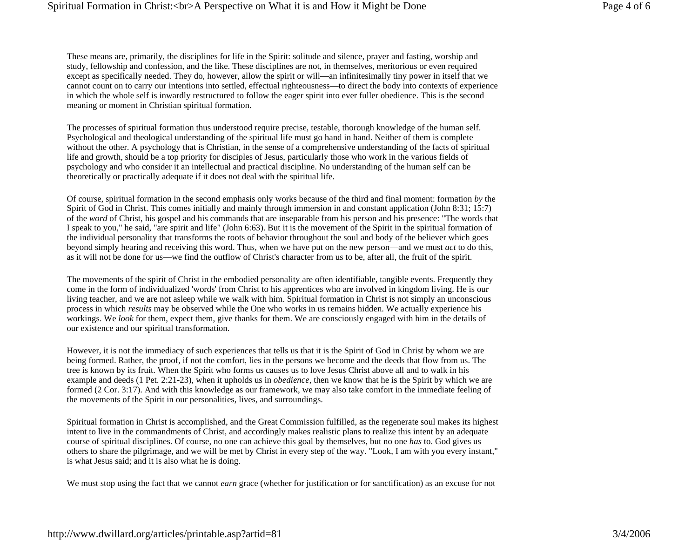These means are, primarily, the disciplines for life in the Spirit: solitude and silence, prayer and fasting, worship and study, fellowship and confession, and the like. These disciplines are not, in themselves, meritorious or even required except as specifically needed. They do, however, allow the spirit or will—an infinitesimally tiny power in itself that we cannot count on to carry our intentions into settled, effectual righteousness—to direct the body into contexts of experience in which the whole self is inwardly restructured to follow the eager spirit into ever fuller obedience. This is the second meaning or moment in Christian spiritual formation.

The processes of spiritual formation thus understood require precise, testable, thorough knowledge of the human self. Psychological and theological understanding of the spiritual life must go hand in hand. Neither of them is complete without the other. A psychology that is Christian, in the sense of a comprehensive understanding of the facts of spiritual life and growth, should be a top priority for disciples of Jesus, particularly those who work in the various fields of psychology and who consider it an intellectual and practical discipline. No understanding of the human self can be theoretically or practically adequate if it does not deal with the spiritual life.

Of course, spiritual formation in the second emphasis only works because of the third and final moment: formation *by* the Spirit of God in Christ. This comes initially and mainly through immersion in and constant application (John 8:31; 15:7) of the *word* of Christ, his gospel and his commands that are inseparable from his person and his presence: "The words that I speak to you," he said, "are spirit and life" (John 6:63). But it is the movement of the Spirit in the spiritual formation of the individual personality that transforms the roots of behavior throughout the soul and body of the believer which goes beyond simply hearing and receiving this word. Thus, when we have put on the new person—and we must *act* to do this, as it will not be done for us—we find the outflow of Christ's character from us to be, after all, the fruit of the spirit.

The movements of the spirit of Christ in the embodied personality are often identifiable, tangible events. Frequently they come in the form of individualized 'words' from Christ to his apprentices who are involved in kingdom living. He is our living teacher, and we are not asleep while we walk with him. Spiritual formation in Christ is not simply an unconscious process in which *results* may be observed while the One who works in us remains hidden. We actually experience his workings. We *look* for them, expect them, give thanks for them. We are consciously engaged with him in the details of our existence and our spiritual transformation.

However, it is not the immediacy of such experiences that tells us that it is the Spirit of God in Christ by whom we are being formed. Rather, the proof, if not the comfort, lies in the persons we become and the deeds that flow from us. The tree is known by its fruit. When the Spirit who forms us causes us to love Jesus Christ above all and to walk in his example and deeds (1 Pet. 2:21-23), when it upholds us in *obedience*, then we know that he is the Spirit by which we are formed (2 Cor. 3:17). And with this knowledge as our framework, we may also take comfort in the immediate feeling of the movements of the Spirit in our personalities, lives, and surroundings.

Spiritual formation in Christ is accomplished, and the Great Commission fulfilled, as the regenerate soul makes its highest intent to live in the commandments of Christ, and accordingly makes realistic plans to realize this intent by an adequate course of spiritual disciplines. Of course, no one can achieve this goal by themselves, but no one *has* to. God gives us others to share the pilgrimage, and we will be met by Christ in every step of the way. "Look, I am with you every instant," is what Jesus said; and it is also what he is doing.

We must stop using the fact that we cannot *earn* grace (whether for justification or for sanctification) as an excuse for not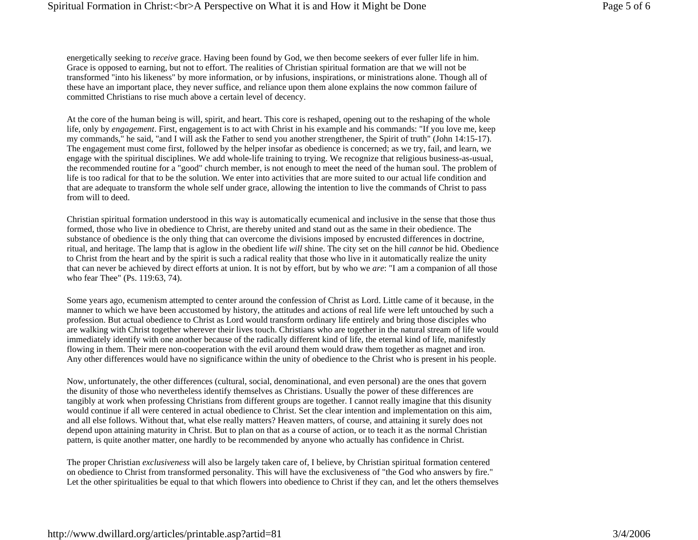energetically seeking to *receive* grace. Having been found by God, we then become seekers of ever fuller life in him. Grace is opposed to earning, but not to effort. The realities of Christian spiritual formation are that we will not be transformed "into his likeness" by more information, or by infusions, inspirations, or ministrations alone. Though all of these have an important place, they never suffice, and reliance upon them alone explains the now common failure of committed Christians to rise much above a certain level of decency.

At the core of the human being is will, spirit, and heart. This core is reshaped, opening out to the reshaping of the whole life, only by *engagemen<sup>t</sup>*. First, engagement is to act with Christ in his example and his commands: "If you love me, keep my commands," he said, "and I will ask the Father to send you another strengthener, the Spirit of truth" (John 14:15-17). The engagement must come first, followed by the helper insofar as obedience is concerned; as we try, fail, and learn, we engage with the spiritual disciplines. We add whole-life training to trying. We recognize that religious business-as-usual, the recommended routine for a "good" church member, is not enough to meet the need of the human soul. The problem of life is too radical for that to be the solution. We enter into activities that are more suited to our actual life condition andthat are adequate to transform the whole self under grace, allowing the intention to live the commands of Christ to pass from will to deed.

Christian spiritual formation understood in this way is automatically ecumenical and inclusive in the sense that those thus formed, those who live in obedience to Christ, are thereby united and stand out as the same in their obedience. The substance of obedience is the only thing that can overcome the divisions imposed by encrusted differences in doctrine, ritual, and heritage. The lamp that is aglow in the obedient life *will* shine. The city set on the hill *cannot* be hid. Obedience to Christ from the heart and by the spirit is such a radical reality that those who live in it automatically realize the unity that can never be achieved by direct efforts at union. It is not by effort, but by who we *are*: "I am a companion of all those who fear Thee" (Ps. 119:63, 74).

Some years ago, ecumenism attempted to center around the confession of Christ as Lord. Little came of it because, in the manner to which we have been accustomed by history, the attitudes and actions of real life were left untouched by such a profession. But actual obedience to Christ as Lord would transform ordinary life entirely and bring those disciples who are walking with Christ together wherever their lives touch. Christians who are together in the natural stream of life would immediately identify with one another because of the radically different kind of life, the eternal kind of life, manifestly flowing in them. Their mere non-cooperation with the evil around them would draw them together as magnet and iron. Any other differences would have no significance within the unity of obedience to the Christ who is present in his people.

Now, unfortunately, the other differences (cultural, social, denominational, and even personal) are the ones that govern the disunity of those who nevertheless identify themselves as Christians. Usually the power of these differences are tangibly at work when professing Christians from different groups are together. I cannot really imagine that this disunity would continue if all were centered in actual obedience to Christ. Set the clear intention and implementation on this aim, and all else follows. Without that, what else really matters? Heaven matters, of course, and attaining it surely does not depend upon attaining maturity in Christ. But to plan on that as a course of action, or to teach it as the normal Christian pattern, is quite another matter, one hardly to be recommended by anyone who actually has confidence in Christ.

The proper Christian *exclusiveness* will also be largely taken care of, I believe, by Christian spiritual formation centered on obedience to Christ from transformed personality. This will have the exclusiveness of "the God who answers by fire." Let the other spiritualities be equal to that which flowers into obedience to Christ if they can, and let the others themselves